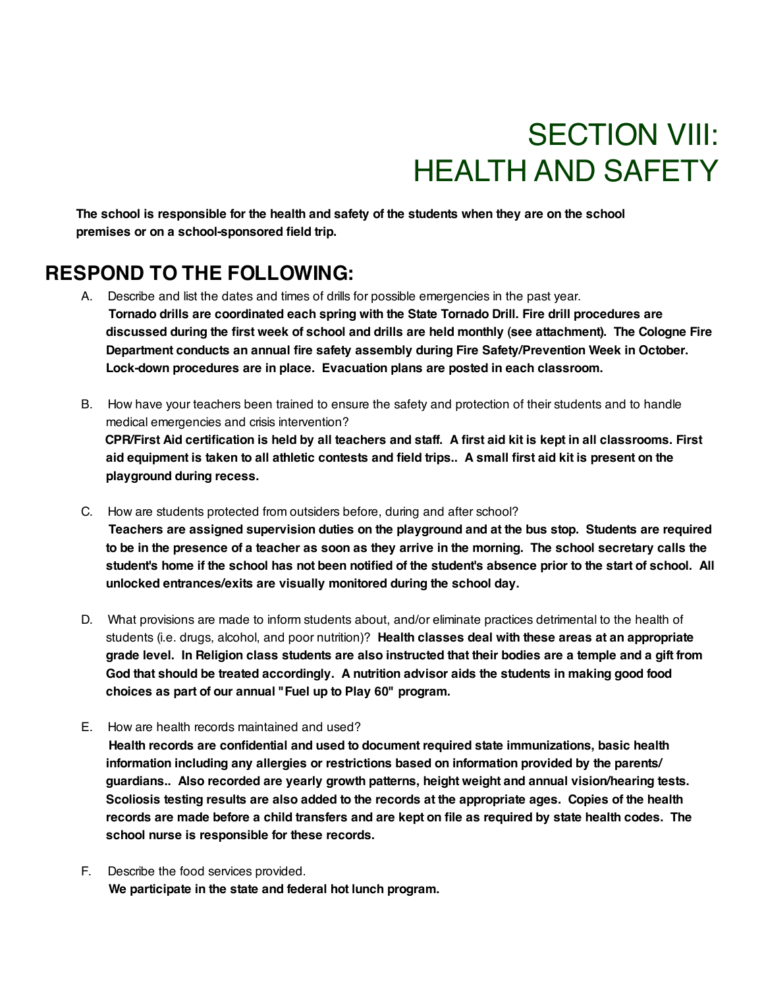# SECTION VIII: HEALTH AND SAFETY

**The school is responsible for the health and safety of the students when they are on the school premises or on a school-sponsored field trip.**

# **RESPOND TO THE FOLLOWING:**

- A. Describe and list the dates and times of drills for possible emergencies in the past year. **Tornado drills are coordinated each spring with the State Tornado Drill. Fire drill procedures are discussed during the first week of school and drills are held monthly (see attachment). The Cologne Fire Department conducts an annual fire safety assembly during Fire Safety/Prevention Week in October. Lock-down procedures are in place. Evacuation plans are posted in each classroom.**
- B. How have your teachers been trained to ensure the safety and protection of their students and to handle medical emergencies and crisis intervention? CPR/First Aid certification is held by all teachers and staff. A first aid kit is kept in all classrooms. First aid equipment is taken to all athletic contests and field trips.. A small first aid kit is present on the **playground during recess.**
- C. How are students protected from outsiders before, during and after school? **Teachers are assigned supervision duties on the playground and at the bus stop. Students are required** to be in the presence of a teacher as soon as they arrive in the morning. The school secretary calls the student's home if the school has not been notified of the student's absence prior to the start of school. All **unlocked entrances/exits are visually monitored during the school day.**
- D. What provisions are made to inform students about, and/or eliminate practices detrimental to the health of students (i.e. drugs, alcohol, and poor nutrition)? **Health classes deal with these areas at an appropriate** grade level. In Religion class students are also instructed that their bodies are a temple and a gift from **God that should be treated accordingly. A nutrition advisor aids the students in making good food choices as part of our annual "Fuel up to Play 60" program.**
- E. How are health records maintained and used?

**Health records are confidential and used to document required state immunizations, basic health information including any allergies or restrictions based on information provided by the parents/ guardians.. Also recorded are yearly growth patterns, height weight and annual vision/hearing tests. Scoliosis testing results are also added to the records at the appropriate ages. Copies of the health** records are made before a child transfers and are kept on file as required by state health codes. The **school nurse is responsible for these records.**

F. Describe the food services provided. **We participate in the state and federal hot lunch program.**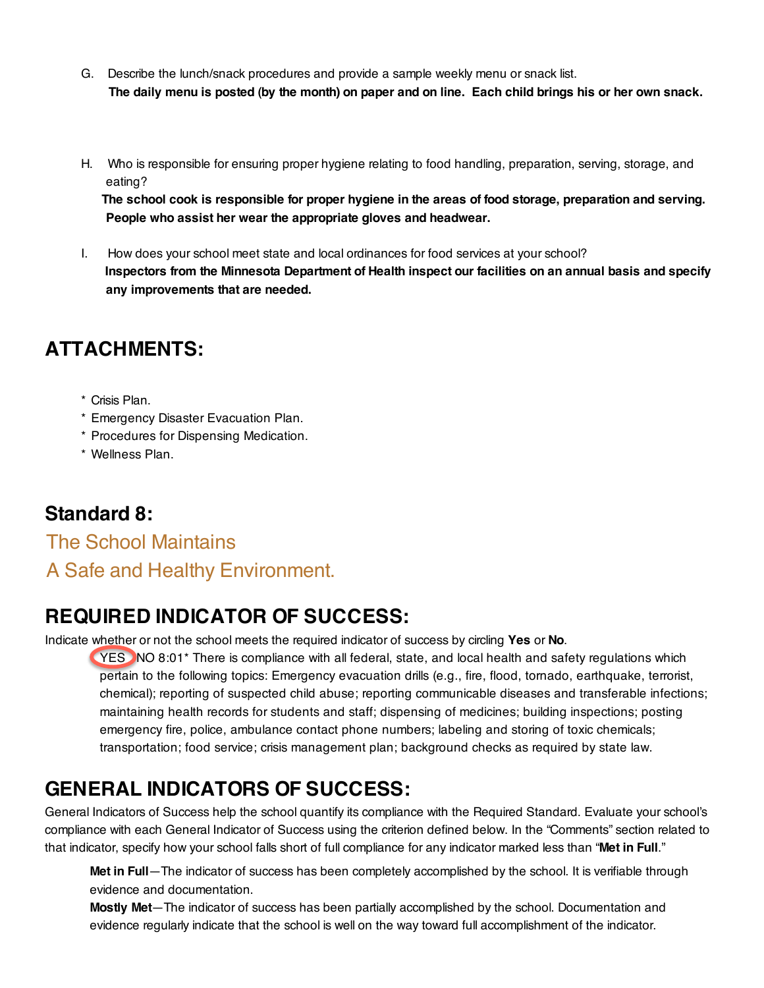- G. Describe the lunch/snack procedures and provide a sample weekly menu or snack list. The daily menu is posted (by the month) on paper and on line. Each child brings his or her own snack.
- H. Who is responsible for ensuring proper hygiene relating to food handling, preparation, serving, storage, and eating?

**The school cook is responsible for proper hygiene in the areas of food storage, preparation and serving. People who assist her wear the appropriate gloves and headwear.**

I. How does your school meet state and local ordinances for food services at your school? **Inspectors from the Minnesota Department of Health inspect our facilities on an annual basis and specify any improvements that are needed.**

## **ATTACHMENTS:**

- \* Crisis Plan.
- \* Emergency Disaster Evacuation Plan.
- \* Procedures for Dispensing Medication.
- \* Wellness Plan.

#### **Standard 8:**

The School Maintains A Safe and Healthy Environment.

## **REQUIRED INDICATOR OF SUCCESS:**

Indicate whether or not the school meets the required indicator of success by circling **Yes** or **No**.

YES NO 8:01<sup>\*</sup> There is compliance with all federal, state, and local health and safety regulations which pertain to the following topics: Emergency evacuation drills (e.g., fire, flood, tornado, earthquake, terrorist, chemical); reporting of suspected child abuse; reporting communicable diseases and transferable infections; maintaining health records for students and staff; dispensing of medicines; building inspections; posting emergency fire, police, ambulance contact phone numbers; labeling and storing of toxic chemicals; transportation; food service; crisis management plan; background checks as required by state law.

## **GENERAL INDICATORS OF SUCCESS:**

General Indicators of Success help the school quantify its compliance with the Required Standard. Evaluate your school's compliance with each General Indicator of Success using the criterion defined below. In the "Comments" section related to that indicator, specify how your school falls short of full compliance for any indicator marked less than "**Met in Full**."

**Met in Full**—The indicator of success has been completely accomplished by the school. It is verifiable through evidence and documentation.

**Mostly Met**—The indicator of success has been partially accomplished by the school. Documentation and evidence regularly indicate that the school is well on the way toward full accomplishment of the indicator.